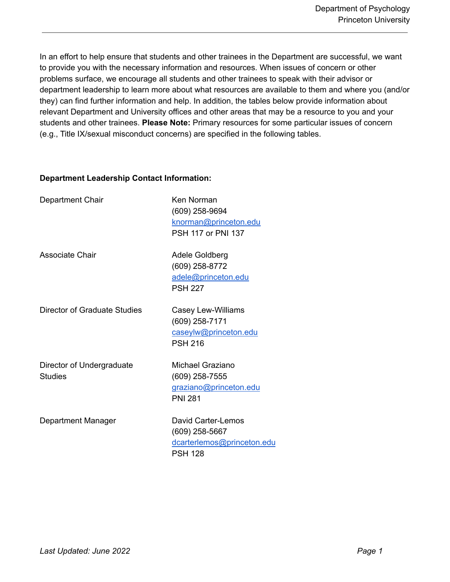In an effort to help ensure that students and other trainees in the Department are successful, we want to provide you with the necessary information and resources. When issues of concern or other problems surface, we encourage all students and other trainees to speak with their advisor or department leadership to learn more about what resources are available to them and where you (and/or they) can find further information and help. In addition, the tables below provide information about relevant Department and University offices and other areas that may be a resource to you and your students and other trainees. **Please Note:** Primary resources for some particular issues of concern (e.g., Title IX/sexual misconduct concerns) are specified in the following tables.

## **Department Leadership Contact Information:**

| Department Chair                            | Ken Norman<br>(609) 258-9694<br>knorman@princeton.edu<br>PSH 117 or PNI 137          |
|---------------------------------------------|--------------------------------------------------------------------------------------|
| Associate Chair                             | Adele Goldberg<br>(609) 258-8772<br>adele@princeton.edu<br><b>PSH 227</b>            |
| Director of Graduate Studies                | Casey Lew-Williams<br>(609) 258-7171<br>caseylw@princeton.edu<br><b>PSH 216</b>      |
| Director of Undergraduate<br><b>Studies</b> | Michael Graziano<br>(609) 258-7555<br>graziano@princeton.edu<br><b>PNI 281</b>       |
| Department Manager                          | David Carter-Lemos<br>(609) 258-5667<br>dcarterlemos@princeton.edu<br><b>PSH 128</b> |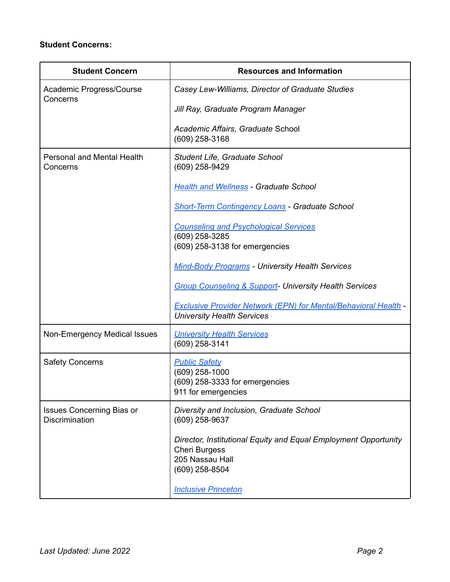## **Student Concerns:**

| <b>Student Concern</b>                             | <b>Resources and Information</b>                                                                                             |
|----------------------------------------------------|------------------------------------------------------------------------------------------------------------------------------|
| Academic Progress/Course<br>Concerns               | Casey Lew-Williams, Director of Graduate Studies                                                                             |
|                                                    | Jill Ray, Graduate Program Manager                                                                                           |
|                                                    | Academic Affairs, Graduate School<br>(609) 258-3168                                                                          |
| Personal and Mental Health<br>Concerns             | Student Life, Graduate School<br>(609) 258-9429                                                                              |
|                                                    | <b>Health and Wellness - Graduate School</b>                                                                                 |
|                                                    | <b>Short-Term Contingency Loans - Graduate School</b>                                                                        |
|                                                    | <b>Counseling and Psychological Services</b><br>(609) 258-3285<br>(609) 258-3138 for emergencies                             |
|                                                    | <b>Mind-Body Programs - University Health Services</b>                                                                       |
|                                                    | <b>Group Counseling &amp; Support- University Health Services</b>                                                            |
|                                                    | <b>Exclusive Provider Network (EPN) for Mental/Behavioral Health -</b><br><b>University Health Services</b>                  |
| Non-Emergency Medical Issues                       | <b>University Health Services</b><br>(609) 258-3141                                                                          |
| <b>Safety Concerns</b>                             | <b>Public Safety</b><br>(609) 258-1000<br>(609) 258-3333 for emergencies<br>911 for emergencies                              |
| <b>Issues Concerning Bias or</b><br>Discrimination | Diversity and Inclusion, Graduate School<br>(609) 258-9637                                                                   |
|                                                    | Director, Institutional Equity and Equal Employment Opportunity<br><b>Cheri Burgess</b><br>205 Nassau Hall<br>(609) 258-8504 |
|                                                    | <b>Inclusive Princeton</b>                                                                                                   |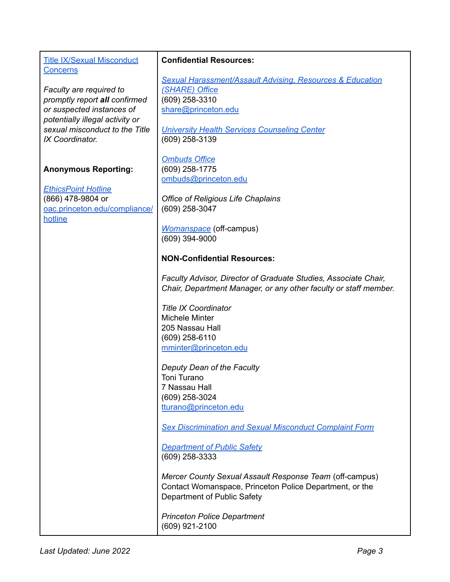| <b>Title IX/Sexual Misconduct</b>                                                                                                                                                                | <b>Confidential Resources:</b>                                                                                                                                                                           |
|--------------------------------------------------------------------------------------------------------------------------------------------------------------------------------------------------|----------------------------------------------------------------------------------------------------------------------------------------------------------------------------------------------------------|
| <b>Concerns</b><br>Faculty are required to<br>promptly report all confirmed<br>or suspected instances of<br>potentially illegal activity or<br>sexual misconduct to the Title<br>IX Coordinator. | <b>Sexual Harassment/Assault Advising, Resources &amp; Education</b><br>(SHARE) Office<br>(609) 258-3310<br>share@princeton.edu<br><b>University Health Services Counseling Center</b><br>(609) 258-3139 |
| <b>Anonymous Reporting:</b><br><b>EthicsPoint Hotline</b><br>(866) 478-9804 or<br>oac.princeton.edu/compliance/<br>hotline                                                                       | <b>Ombuds Office</b><br>(609) 258-1775<br>ombuds@princeton.edu<br><b>Office of Religious Life Chaplains</b><br>(609) 258-3047<br><b>Womanspace</b> (off-campus)<br>(609) 394-9000                        |
|                                                                                                                                                                                                  | <b>NON-Confidential Resources:</b>                                                                                                                                                                       |
|                                                                                                                                                                                                  | Faculty Advisor, Director of Graduate Studies, Associate Chair,<br>Chair, Department Manager, or any other faculty or staff member.                                                                      |
|                                                                                                                                                                                                  | <b>Title IX Coordinator</b><br><b>Michele Minter</b><br>205 Nassau Hall<br>(609) 258-6110<br>mminter@princeton.edu                                                                                       |
|                                                                                                                                                                                                  | Deputy Dean of the Faculty<br>Toni Turano<br>7 Nassau Hall<br>(609) 258-3024<br>tturano@princeton.edu                                                                                                    |
|                                                                                                                                                                                                  | <b>Sex Discrimination and Sexual Misconduct Complaint Form</b>                                                                                                                                           |
|                                                                                                                                                                                                  | <b>Department of Public Safety</b><br>$(609)$ 258-3333                                                                                                                                                   |
|                                                                                                                                                                                                  | Mercer County Sexual Assault Response Team (off-campus)<br>Contact Womanspace, Princeton Police Department, or the<br>Department of Public Safety                                                        |
|                                                                                                                                                                                                  | <b>Princeton Police Department</b><br>(609) 921-2100                                                                                                                                                     |